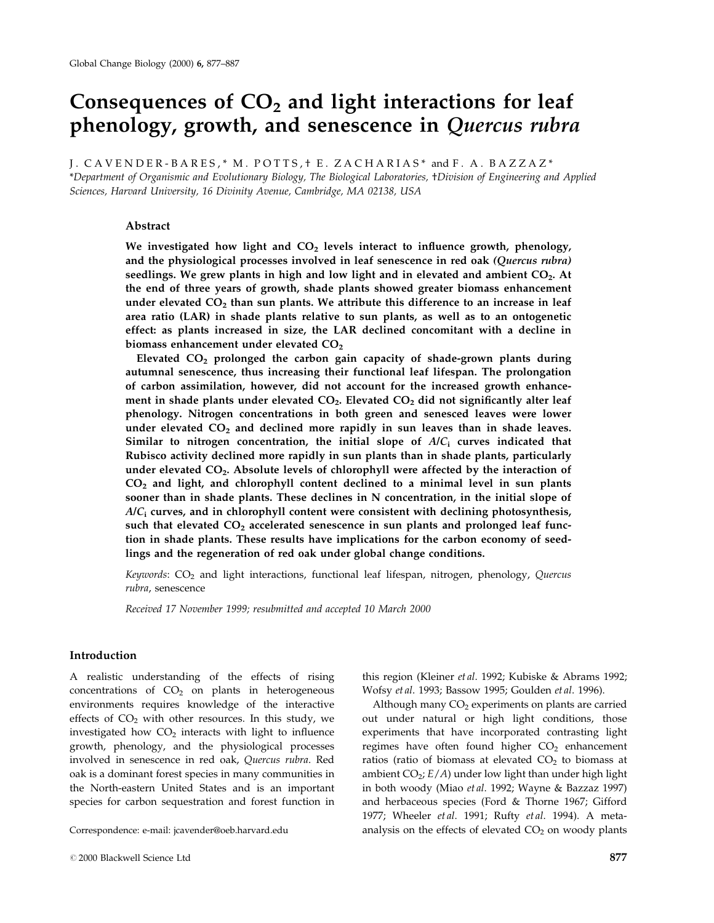# Consequences of  $CO<sub>2</sub>$  and light interactions for leaf phenology, growth, and senescence in Quercus rubra

J. CAVENDER-BARES,\* M. POTTS, + E. ZACHARIAS\* and F. A. BAZZAZ\*

\*Department of Organismic and Evolutionary Biology, The Biological Laboratories, ²Division of Engineering and Applied Sciences, Harvard University, 16 Divinity Avenue, Cambridge, MA 02138, USA

#### Abstract

We investigated how light and  $CO<sub>2</sub>$  levels interact to influence growth, phenology, and the physiological processes involved in leaf senescence in red oak (Quercus rubra) seedlings. We grew plants in high and low light and in elevated and ambient CO<sub>2</sub>. At the end of three years of growth, shade plants showed greater biomass enhancement under elevated  $CO<sub>2</sub>$  than sun plants. We attribute this difference to an increase in leaf area ratio (LAR) in shade plants relative to sun plants, as well as to an ontogenetic effect: as plants increased in size, the LAR declined concomitant with a decline in biomass enhancement under elevated  $CO<sub>2</sub>$ 

Elevated  $CO<sub>2</sub>$  prolonged the carbon gain capacity of shade-grown plants during autumnal senescence, thus increasing their functional leaf lifespan. The prolongation of carbon assimilation, however, did not account for the increased growth enhancement in shade plants under elevated  $CO<sub>2</sub>$ . Elevated  $CO<sub>2</sub>$  did not significantly alter leaf phenology. Nitrogen concentrations in both green and senesced leaves were lower under elevated  $CO<sub>2</sub>$  and declined more rapidly in sun leaves than in shade leaves. Similar to nitrogen concentration, the initial slope of  $A/C_i$  curves indicated that Rubisco activity declined more rapidly in sun plants than in shade plants, particularly under elevated  $CO<sub>2</sub>$ . Absolute levels of chlorophyll were affected by the interaction of  $CO<sub>2</sub>$  and light, and chlorophyll content declined to a minimal level in sun plants sooner than in shade plants. These declines in N concentration, in the initial slope of  $A/C<sub>i</sub>$  curves, and in chlorophyll content were consistent with declining photosynthesis, such that elevated  $CO<sub>2</sub>$  accelerated senescence in sun plants and prolonged leaf function in shade plants. These results have implications for the carbon economy of seedlings and the regeneration of red oak under global change conditions.

Keywords:  $CO<sub>2</sub>$  and light interactions, functional leaf lifespan, nitrogen, phenology, Quercus rubra, senescence

Received 17 November 1999; resubmitted and accepted 10 March 2000

#### Introduction

A realistic understanding of the effects of rising concentrations of  $CO<sub>2</sub>$  on plants in heterogeneous environments requires knowledge of the interactive effects of  $CO<sub>2</sub>$  with other resources. In this study, we investigated how  $CO<sub>2</sub>$  interacts with light to influence growth, phenology, and the physiological processes involved in senescence in red oak, Quercus rubra. Red oak is a dominant forest species in many communities in the North-eastern United States and is an important species for carbon sequestration and forest function in

this region (Kleiner et al. 1992; Kubiske & Abrams 1992; Wofsy et al. 1993; Bassow 1995; Goulden et al. 1996).

Although many  $CO<sub>2</sub>$  experiments on plants are carried out under natural or high light conditions, those experiments that have incorporated contrasting light regimes have often found higher  $CO<sub>2</sub>$  enhancement ratios (ratio of biomass at elevated  $CO<sub>2</sub>$  to biomass at ambient  $CO_2$ ;  $E/A$ ) under low light than under high light in both woody (Miao et al. 1992; Wayne & Bazzaz 1997) and herbaceous species (Ford & Thorne 1967; Gifford 1977; Wheeler et al. 1991; Rufty et al. 1994). A meta-Correspondence: e-mail: jcavender@oeb.harvard.edu analysis on the effects of elevated CO<sub>2</sub> on woody plants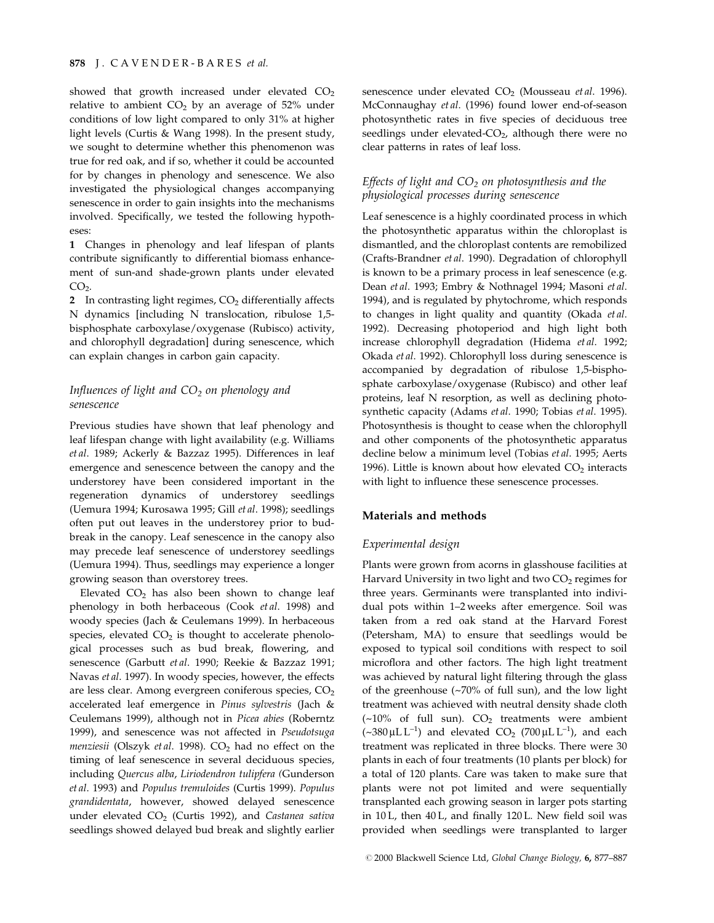showed that growth increased under elevated  $CO<sub>2</sub>$ relative to ambient  $CO<sub>2</sub>$  by an average of 52% under conditions of low light compared to only 31% at higher light levels (Curtis & Wang 1998). In the present study, we sought to determine whether this phenomenon was true for red oak, and if so, whether it could be accounted for by changes in phenology and senescence. We also investigated the physiological changes accompanying senescence in order to gain insights into the mechanisms involved. Specifically, we tested the following hypotheses:

1 Changes in phenology and leaf lifespan of plants contribute significantly to differential biomass enhancement of sun-and shade-grown plants under elevated  $CO<sub>2</sub>$ .

2 In contrasting light regimes,  $CO<sub>2</sub>$  differentially affects N dynamics [including N translocation, ribulose 1,5 bisphosphate carboxylase/oxygenase (Rubisco) activity, and chlorophyll degradation] during senescence, which can explain changes in carbon gain capacity.

# Influences of light and  $CO<sub>2</sub>$  on phenology and senescence

Previous studies have shown that leaf phenology and leaf lifespan change with light availability (e.g. Williams et al. 1989; Ackerly & Bazzaz 1995). Differences in leaf emergence and senescence between the canopy and the understorey have been considered important in the regeneration dynamics of understorey seedlings (Uemura 1994; Kurosawa 1995; Gill et al. 1998); seedlings often put out leaves in the understorey prior to budbreak in the canopy. Leaf senescence in the canopy also may precede leaf senescence of understorey seedlings (Uemura 1994). Thus, seedlings may experience a longer growing season than overstorey trees.

Elevated  $CO<sub>2</sub>$  has also been shown to change leaf phenology in both herbaceous (Cook et al. 1998) and woody species (Jach & Ceulemans 1999). In herbaceous species, elevated  $CO<sub>2</sub>$  is thought to accelerate phenological processes such as bud break, flowering, and senescence (Garbutt et al. 1990; Reekie & Bazzaz 1991; Navas et al. 1997). In woody species, however, the effects are less clear. Among evergreen coniferous species, CO<sub>2</sub> accelerated leaf emergence in Pinus sylvestris (Jach & Ceulemans 1999), although not in Picea abies (Roberntz 1999), and senescence was not affected in Pseudotsuga menziesii (Olszyk et al. 1998).  $CO<sub>2</sub>$  had no effect on the timing of leaf senescence in several deciduous species, including Quercus alba, Liriodendron tulipfera (Gunderson et al. 1993) and Populus tremuloides (Curtis 1999). Populus grandidentata, however, showed delayed senescence under elevated  $CO<sub>2</sub>$  (Curtis 1992), and Castanea sativa seedlings showed delayed bud break and slightly earlier senescence under elevated  $CO<sub>2</sub>$  (Mousseau et al. 1996). McConnaughay et al. (1996) found lower end-of-season photosynthetic rates in five species of deciduous tree seedlings under elevated- $CO<sub>2</sub>$ , although there were no clear patterns in rates of leaf loss.

# Effects of light and  $CO<sub>2</sub>$  on photosynthesis and the physiological processes during senescence

Leaf senescence is a highly coordinated process in which the photosynthetic apparatus within the chloroplast is dismantled, and the chloroplast contents are remobilized (Crafts-Brandner et al. 1990). Degradation of chlorophyll is known to be a primary process in leaf senescence (e.g. Dean et al. 1993; Embry & Nothnagel 1994; Masoni et al. 1994), and is regulated by phytochrome, which responds to changes in light quality and quantity (Okada et al. 1992). Decreasing photoperiod and high light both increase chlorophyll degradation (Hidema et al. 1992; Okada et al. 1992). Chlorophyll loss during senescence is accompanied by degradation of ribulose 1,5-bisphosphate carboxylase/oxygenase (Rubisco) and other leaf proteins, leaf N resorption, as well as declining photosynthetic capacity (Adams et al. 1990; Tobias et al. 1995). Photosynthesis is thought to cease when the chlorophyll and other components of the photosynthetic apparatus decline below a minimum level (Tobias et al. 1995; Aerts 1996). Little is known about how elevated  $CO<sub>2</sub>$  interacts with light to influence these senescence processes.

## Materials and methods

## Experimental design

Plants were grown from acorns in glasshouse facilities at Harvard University in two light and two  $CO<sub>2</sub>$  regimes for three years. Germinants were transplanted into individual pots within 1-2 weeks after emergence. Soil was taken from a red oak stand at the Harvard Forest (Petersham, MA) to ensure that seedlings would be exposed to typical soil conditions with respect to soil microflora and other factors. The high light treatment was achieved by natural light filtering through the glass of the greenhouse (~70% of full sun), and the low light treatment was achieved with neutral density shade cloth  $(-10\%$  of full sun).  $CO<sub>2</sub>$  treatments were ambient  $(\sim 380 \,\mu L L^{-1})$  and elevated CO<sub>2</sub> (700  $\mu L L^{-1}$ ), and each treatment was replicated in three blocks. There were 30 plants in each of four treatments (10 plants per block) for a total of 120 plants. Care was taken to make sure that plants were not pot limited and were sequentially transplanted each growing season in larger pots starting in 10 L, then 40 L, and finally 120 L. New field soil was provided when seedlings were transplanted to larger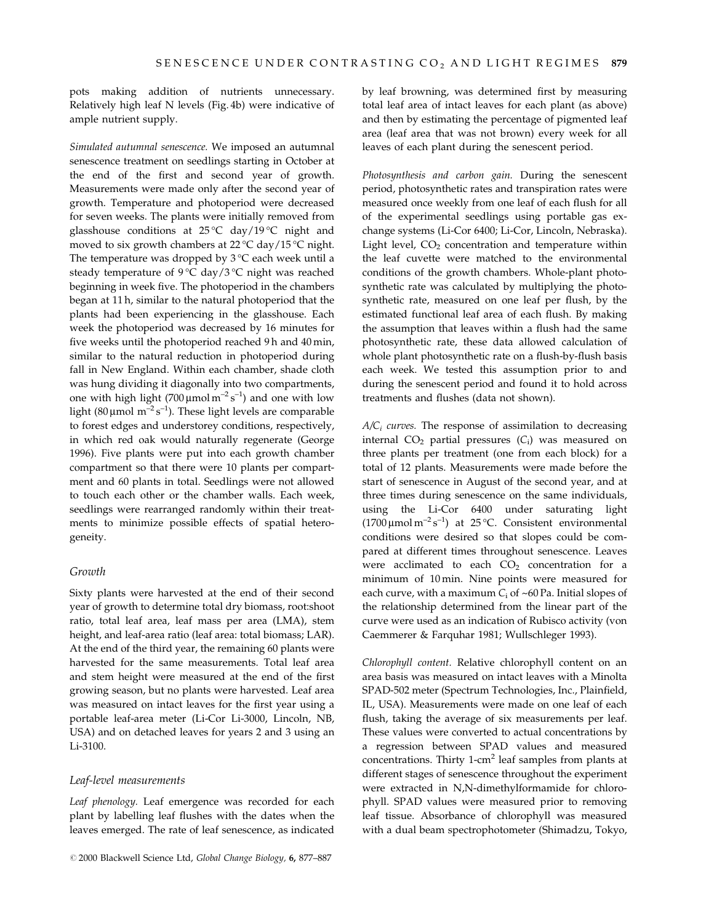pots making addition of nutrients unnecessary. Relatively high leaf N levels (Fig. 4b) were indicative of ample nutrient supply.

Simulated autumnal senescence. We imposed an autumnal senescence treatment on seedlings starting in October at the end of the first and second year of growth. Measurements were made only after the second year of growth. Temperature and photoperiod were decreased for seven weeks. The plants were initially removed from glasshouse conditions at  $25^{\circ}$ C day/19 $^{\circ}$ C night and moved to six growth chambers at 22 °C day/15 °C night. The temperature was dropped by  $3^{\circ}C$  each week until a steady temperature of 9 °C day/3 °C night was reached beginning in week five. The photoperiod in the chambers began at 11 h, similar to the natural photoperiod that the plants had been experiencing in the glasshouse. Each week the photoperiod was decreased by 16 minutes for five weeks until the photoperiod reached 9h and 40 min, similar to the natural reduction in photoperiod during fall in New England. Within each chamber, shade cloth was hung dividing it diagonally into two compartments, one with high light (700  $\mu$ mol m<sup>-2</sup> s<sup>-1</sup>) and one with low light (80 µmol m<sup>-2</sup> s<sup>-1</sup>). These light levels are comparable to forest edges and understorey conditions, respectively, in which red oak would naturally regenerate (George 1996). Five plants were put into each growth chamber compartment so that there were 10 plants per compartment and 60 plants in total. Seedlings were not allowed to touch each other or the chamber walls. Each week, seedlings were rearranged randomly within their treatments to minimize possible effects of spatial heterogeneity.

#### Growth

Sixty plants were harvested at the end of their second year of growth to determine total dry biomass, root:shoot ratio, total leaf area, leaf mass per area (LMA), stem height, and leaf-area ratio (leaf area: total biomass; LAR). At the end of the third year, the remaining 60 plants were harvested for the same measurements. Total leaf area and stem height were measured at the end of the first growing season, but no plants were harvested. Leaf area was measured on intact leaves for the first year using a portable leaf-area meter (Li-Cor Li-3000, Lincoln, NB, USA) and on detached leaves for years 2 and 3 using an Li-3100.

#### Leaf-level measurements

Leaf phenology. Leaf emergence was recorded for each plant by labelling leaf flushes with the dates when the leaves emerged. The rate of leaf senescence, as indicated

by leaf browning, was determined first by measuring total leaf area of intact leaves for each plant (as above) and then by estimating the percentage of pigmented leaf area (leaf area that was not brown) every week for all leaves of each plant during the senescent period.

Photosynthesis and carbon gain. During the senescent period, photosynthetic rates and transpiration rates were measured once weekly from one leaf of each flush for all of the experimental seedlings using portable gas exchange systems (Li-Cor 6400; Li-Cor, Lincoln, Nebraska). Light level,  $CO<sub>2</sub>$  concentration and temperature within the leaf cuvette were matched to the environmental conditions of the growth chambers. Whole-plant photosynthetic rate was calculated by multiplying the photosynthetic rate, measured on one leaf per flush, by the estimated functional leaf area of each flush. By making the assumption that leaves within a flush had the same photosynthetic rate, these data allowed calculation of whole plant photosynthetic rate on a flush-by-flush basis each week. We tested this assumption prior to and during the senescent period and found it to hold across treatments and flushes (data not shown).

 $A/C<sub>i</sub>$  curves. The response of assimilation to decreasing internal  $CO<sub>2</sub>$  partial pressures  $(C<sub>i</sub>)$  was measured on three plants per treatment (one from each block) for a total of 12 plants. Measurements were made before the start of senescence in August of the second year, and at three times during senescence on the same individuals, using the Li-Cor 6400 under saturating light  $(1700 \,\mu\text{mol}\,\text{m}^{-2}\text{s}^{-1})$  at 25 °C. Consistent environmental conditions were desired so that slopes could be compared at different times throughout senescence. Leaves were acclimated to each  $CO<sub>2</sub>$  concentration for a minimum of 10 min. Nine points were measured for each curve, with a maximum  $C_i$  of ~60 Pa. Initial slopes of the relationship determined from the linear part of the curve were used as an indication of Rubisco activity (von Caemmerer & Farquhar 1981; Wullschleger 1993).

Chlorophyll content. Relative chlorophyll content on an area basis was measured on intact leaves with a Minolta SPAD-502 meter (Spectrum Technologies, Inc., Plainfield, IL, USA). Measurements were made on one leaf of each flush, taking the average of six measurements per leaf. These values were converted to actual concentrations by a regression between SPAD values and measured concentrations. Thirty  $1$ -cm<sup>2</sup> leaf samples from plants at different stages of senescence throughout the experiment were extracted in N,N-dimethylformamide for chlorophyll. SPAD values were measured prior to removing leaf tissue. Absorbance of chlorophyll was measured with a dual beam spectrophotometer (Shimadzu, Tokyo,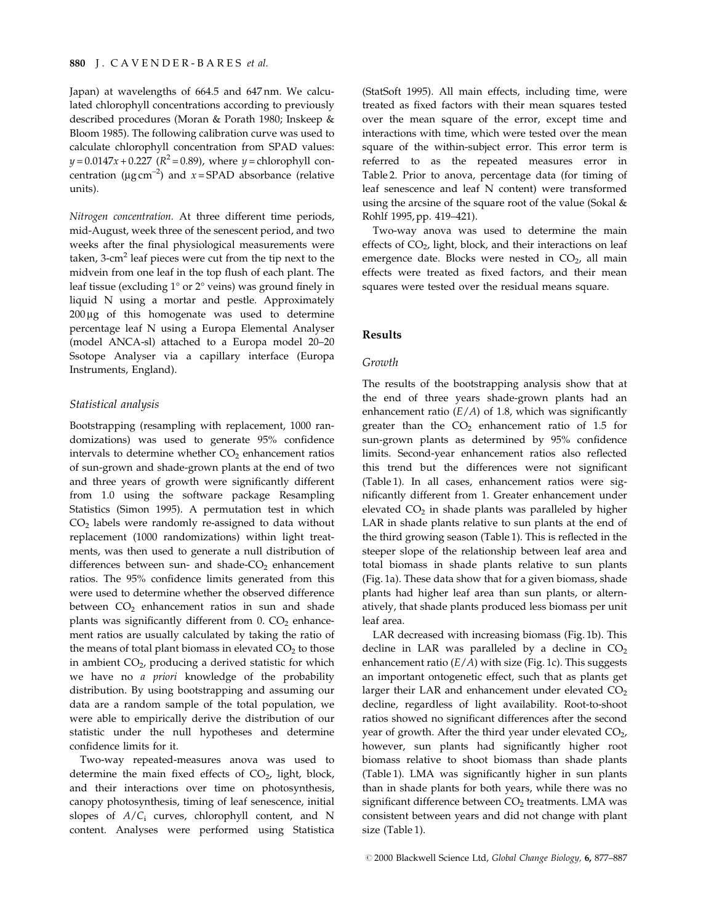Japan) at wavelengths of 664.5 and 647 nm. We calculated chlorophyll concentrations according to previously described procedures (Moran & Porath 1980; Inskeep & Bloom 1985). The following calibration curve was used to calculate chlorophyll concentration from SPAD values:  $y = 0.0147x + 0.227$  ( $R^2 = 0.89$ ), where  $y =$ chlorophyll concentration ( $\mu$ g cm<sup>-2</sup>) and x = SPAD absorbance (relative units).

Nitrogen concentration. At three different time periods, mid-August, week three of the senescent period, and two weeks after the final physiological measurements were taken,  $3$ -cm<sup>2</sup> leaf pieces were cut from the tip next to the midvein from one leaf in the top flush of each plant. The leaf tissue (excluding  $1^{\circ}$  or  $2^{\circ}$  veins) was ground finely in liquid N using a mortar and pestle. Approximately  $200 \mu g$  of this homogenate was used to determine percentage leaf N using a Europa Elemental Analyser (model ANCA-sl) attached to a Europa model 20-20 Ssotope Analyser via a capillary interface (Europa Instruments, England).

#### Statistical analysis

Bootstrapping (resampling with replacement, 1000 randomizations) was used to generate 95% confidence intervals to determine whether  $CO<sub>2</sub>$  enhancement ratios of sun-grown and shade-grown plants at the end of two and three years of growth were significantly different from 1.0 using the software package Resampling Statistics (Simon 1995). A permutation test in which  $CO<sub>2</sub>$  labels were randomly re-assigned to data without replacement (1000 randomizations) within light treatments, was then used to generate a null distribution of differences between sun- and shade- $CO<sub>2</sub>$  enhancement ratios. The 95% confidence limits generated from this were used to determine whether the observed difference between  $CO<sub>2</sub>$  enhancement ratios in sun and shade plants was significantly different from  $0.$  CO<sub>2</sub> enhancement ratios are usually calculated by taking the ratio of the means of total plant biomass in elevated  $CO<sub>2</sub>$  to those in ambient  $CO<sub>2</sub>$ , producing a derived statistic for which we have no a priori knowledge of the probability distribution. By using bootstrapping and assuming our data are a random sample of the total population, we were able to empirically derive the distribution of our statistic under the null hypotheses and determine confidence limits for it.

Two-way repeated-measures anova was used to determine the main fixed effects of  $CO<sub>2</sub>$ , light, block, and their interactions over time on photosynthesis, canopy photosynthesis, timing of leaf senescence, initial slopes of  $A/C_i$  curves, chlorophyll content, and N content. Analyses were performed using Statistica

(StatSoft 1995). All main effects, including time, were treated as fixed factors with their mean squares tested over the mean square of the error, except time and interactions with time, which were tested over the mean square of the within-subject error. This error term is referred to as the repeated measures error in Table 2. Prior to anova, percentage data (for timing of leaf senescence and leaf N content) were transformed using the arcsine of the square root of the value (Sokal & Rohlf 1995, pp. 419-421).

Two-way anova was used to determine the main effects of  $CO<sub>2</sub>$ , light, block, and their interactions on leaf emergence date. Blocks were nested in  $CO<sub>2</sub>$ , all main effects were treated as fixed factors, and their mean squares were tested over the residual means square.

#### Results

#### Growth

The results of the bootstrapping analysis show that at the end of three years shade-grown plants had an enhancement ratio  $(E/A)$  of 1.8, which was significantly greater than the  $CO<sub>2</sub>$  enhancement ratio of 1.5 for sun-grown plants as determined by 95% confidence limits. Second-year enhancement ratios also reflected this trend but the differences were not significant (Table 1). In all cases, enhancement ratios were significantly different from 1. Greater enhancement under elevated  $CO<sub>2</sub>$  in shade plants was paralleled by higher LAR in shade plants relative to sun plants at the end of the third growing season (Table 1). This is reflected in the steeper slope of the relationship between leaf area and total biomass in shade plants relative to sun plants (Fig. 1a). These data show that for a given biomass, shade plants had higher leaf area than sun plants, or alternatively, that shade plants produced less biomass per unit leaf area.

LAR decreased with increasing biomass (Fig. 1b). This decline in LAR was paralleled by a decline in  $CO<sub>2</sub>$ enhancement ratio  $(E/A)$  with size (Fig. 1c). This suggests an important ontogenetic effect, such that as plants get larger their LAR and enhancement under elevated  $CO<sub>2</sub>$ decline, regardless of light availability. Root-to-shoot ratios showed no significant differences after the second year of growth. After the third year under elevated CO<sub>2</sub>, however, sun plants had significantly higher root biomass relative to shoot biomass than shade plants (Table 1). LMA was significantly higher in sun plants than in shade plants for both years, while there was no significant difference between CO<sub>2</sub> treatments. LMA was consistent between years and did not change with plant size (Table 1).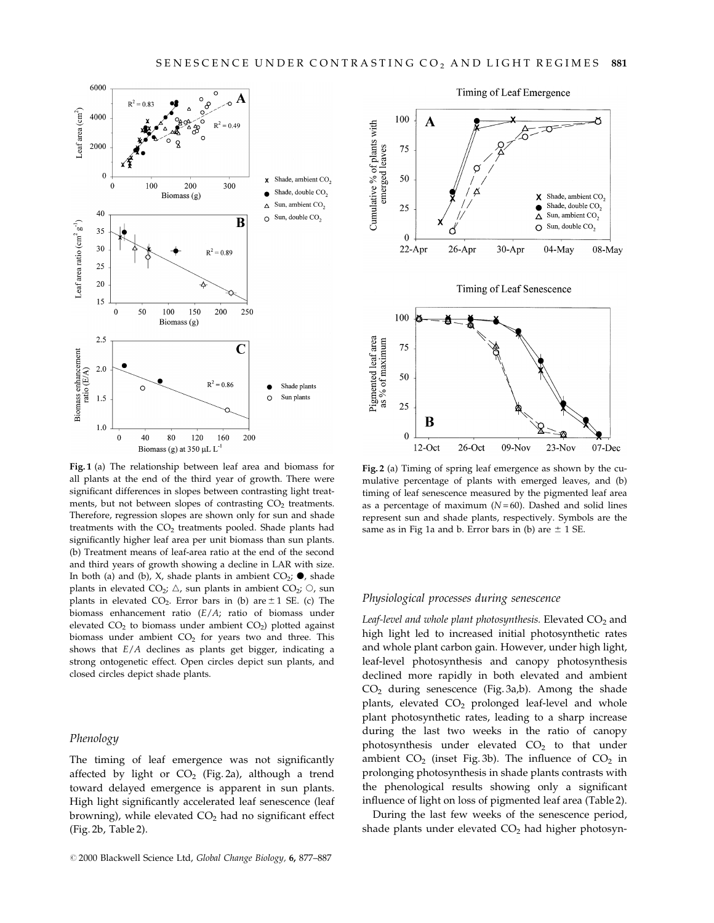

Fig. 1 (a) The relationship between leaf area and biomass for all plants at the end of the third year of growth. There were significant differences in slopes between contrasting light treatments, but not between slopes of contrasting  $CO<sub>2</sub>$  treatments. Therefore, regression slopes are shown only for sun and shade treatments with the  $CO<sub>2</sub>$  treatments pooled. Shade plants had significantly higher leaf area per unit biomass than sun plants. (b) Treatment means of leaf-area ratio at the end of the second and third years of growth showing a decline in LAR with size. In both (a) and (b), X, shade plants in ambient  $CO_2$ ;  $\bullet$ , shade plants in elevated  $CO_2$ ;  $\triangle$ , sun plants in ambient  $CO_2$ ;  $\odot$ , sun plants in elevated CO<sub>2</sub>. Error bars in (b) are  $\pm$  1 SE. (c) The biomass enhancement ratio (E/A; ratio of biomass under elevated  $CO<sub>2</sub>$  to biomass under ambient  $CO<sub>2</sub>$ ) plotted against biomass under ambient  $CO<sub>2</sub>$  for years two and three. This shows that E/A declines as plants get bigger, indicating a strong ontogenetic effect. Open circles depict sun plants, and closed circles depict shade plants.

#### Phenology

The timing of leaf emergence was not significantly affected by light or  $CO<sub>2</sub>$  (Fig. 2a), although a trend toward delayed emergence is apparent in sun plants. High light significantly accelerated leaf senescence (leaf browning), while elevated  $CO<sub>2</sub>$  had no significant effect (Fig. 2b, Table 2).



Fig. 2 (a) Timing of spring leaf emergence as shown by the cumulative percentage of plants with emerged leaves, and (b) timing of leaf senescence measured by the pigmented leaf area as a percentage of maximum  $(N = 60)$ . Dashed and solid lines represent sun and shade plants, respectively. Symbols are the same as in Fig 1a and b. Error bars in (b) are  $\pm$  1 SE.

#### Physiological processes during senescence

Leaf-level and whole plant photosynthesis. Elevated  $CO<sub>2</sub>$  and high light led to increased initial photosynthetic rates and whole plant carbon gain. However, under high light, leaf-level photosynthesis and canopy photosynthesis declined more rapidly in both elevated and ambient  $CO<sub>2</sub>$  during senescence (Fig. 3a,b). Among the shade plants, elevated  $CO<sub>2</sub>$  prolonged leaf-level and whole plant photosynthetic rates, leading to a sharp increase during the last two weeks in the ratio of canopy photosynthesis under elevated  $CO<sub>2</sub>$  to that under ambient  $CO<sub>2</sub>$  (inset Fig. 3b). The influence of  $CO<sub>2</sub>$  in prolonging photosynthesis in shade plants contrasts with the phenological results showing only a significant influence of light on loss of pigmented leaf area (Table 2).

During the last few weeks of the senescence period, shade plants under elevated  $CO<sub>2</sub>$  had higher photosyn-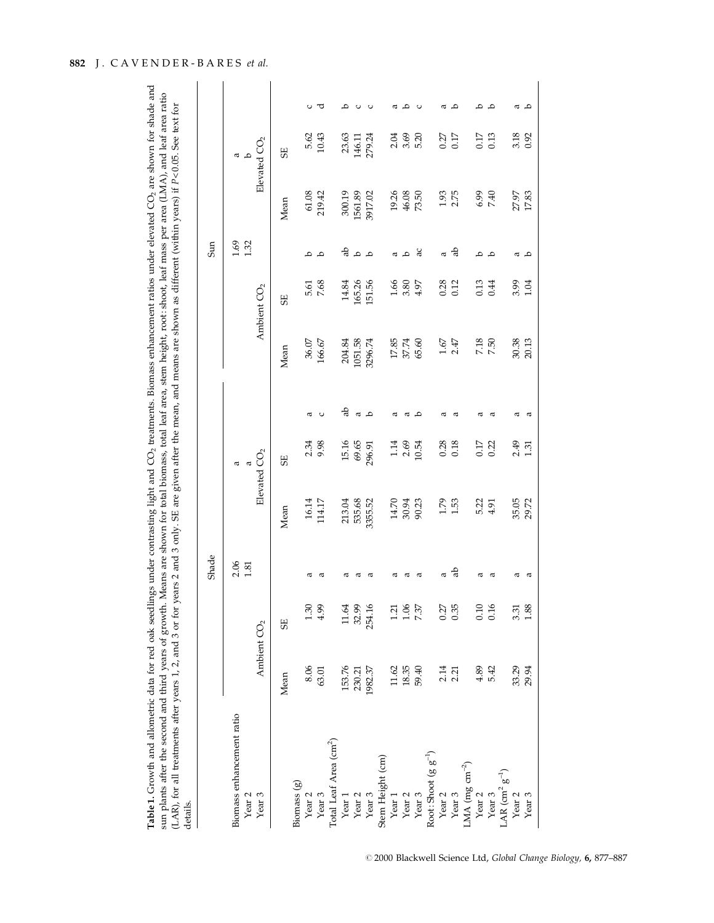| llings under contrasting light and CO <sub>2</sub> treatments. Biomass enhancement ratios under elevated CO <sub>2</sub> are shown for shade and<br>Table 1. Growth and allometric data for red oak seedli |
|------------------------------------------------------------------------------------------------------------------------------------------------------------------------------------------------------------|
| n. Means are shown for total biomass, total leaf area, stem height, root: shoot, leaf mass per area (LMA), and leaf area ratio<br>sun plants after the second and third years of growth.                   |
| years 2 and 3 only. SE are given after the mean, and means are shown as different (within years) if P<0.05. See text for<br>LAR), for all treatments after years 1, 2, and 3 or for                        |
| <i>retails</i>                                                                                                                                                                                             |

|                                                                     |                         |          | Shade            |                             |                                |      |                                                        |                           | Sun                 |                              |                            |   |
|---------------------------------------------------------------------|-------------------------|----------|------------------|-----------------------------|--------------------------------|------|--------------------------------------------------------|---------------------------|---------------------|------------------------------|----------------------------|---|
| Biomass enhancement ratio<br>Year <sub>3</sub><br>Year <sub>2</sub> | Ambient CO <sub>2</sub> |          | $2.06$<br>$1.81$ |                             | Elevated $CO2$                 |      |                                                        | Ambient CO <sub>2</sub>   | $\frac{1.69}{1.32}$ |                              | Elevated $CO2$<br><b>െ</b> |   |
|                                                                     | Mean                    | 5E       |                  | Mean                        | 5E                             |      | Mean                                                   | 55                        |                     | Mean                         | <b>SE</b>                  |   |
| Biomass (g)                                                         |                         |          |                  |                             |                                |      |                                                        |                           |                     |                              |                            |   |
| Year <sub>2</sub>                                                   | 8.06                    | 1.30     | ದ                |                             |                                | a    |                                                        |                           | م                   |                              |                            |   |
| Year <sub>3</sub>                                                   | 63.01                   | 4.99     | ದ                | 16.14<br>114.17             | 2.34<br>9.98                   |      | $36.07$ $166.67$                                       | 5.61<br>7.68              | ٩                   | 61.08<br>219.42              | 5.62<br>10.43              |   |
| Total Leaf Area (cm <sup>2</sup> )                                  |                         |          |                  |                             |                                |      |                                                        |                           |                     |                              |                            |   |
| Year 1                                                              | 153.76                  | 11.64    |                  |                             |                                | ಕ್ಲಿ |                                                        |                           |                     |                              |                            | ٩ |
|                                                                     | 230.21                  | 32.99    |                  |                             |                                |      |                                                        | 14.84<br>165.26<br>151.56 | م م ڄ               |                              |                            |   |
| Year 2<br>Year 3                                                    | 1982.37                 | 254.16   |                  | 213.04<br>535.68<br>3355.52 | $15.16$<br>$69.65$<br>$296.91$ | a o  | 204.84<br>1051.58<br>3296.74                           |                           |                     | 300.19<br>1561.89<br>3917.02 | 23.63<br>146.11<br>279.24  |   |
| Stem Height (cm)                                                    |                         |          |                  |                             |                                |      |                                                        |                           |                     |                              |                            |   |
| Year $1\,$                                                          | 11.62                   | $1.21\,$ | ದ                |                             |                                | a    |                                                        |                           |                     |                              |                            | a |
|                                                                     |                         | 1.06     | ದ                | 14.70<br>30.94<br>90.23     | 1.14<br>2.69<br>10.54          | a    | $\begin{array}{l} 17.85 \\ 37.74 \\ 65.60 \end{array}$ | $1.66$<br>3.80<br>4.97    | $\alpha$ a          | 19.26<br>46.08<br>73.50      | 2.04<br>3.69<br>5.20       | م |
| Year 2<br>Year 3                                                    | 18.35<br>59.40          | 7.37     | ά                |                             |                                | ٩    |                                                        |                           | ್ದ                  |                              |                            |   |
| Root: Shoot $(g g^{-1})$                                            |                         |          |                  |                             |                                |      |                                                        |                           |                     |                              |                            |   |
|                                                                     |                         | 0.27     | a                |                             |                                | π    |                                                        |                           | ω                   |                              |                            | a |
| Year 2<br>Year 3                                                    | $2.14$<br>$2.21$        | 0.35     | ಕೆ               | $1.79$<br>$1.53$            | $0.28$<br>0.18                 | ದ    | $1.67$<br>$2.47$                                       | $0.28$<br>$0.12$          | ಕೊ                  | $1.93$<br>$2.75$             | $0.27$<br>$0.17$           | م |
| LMA (mg cm <sup>-2</sup> )                                          |                         |          |                  |                             |                                |      |                                                        |                           |                     |                              |                            |   |
| Year <sub>2</sub>                                                   | 4.89                    | 0.10     | σ                | 5.22<br>4.91                |                                | ದ    |                                                        |                           | ٩                   |                              |                            | ≏ |
|                                                                     | 5.42                    | 0.16     | σ                |                             | 0.17<br>0.22                   | ω    | $7.18$<br>$7.50$                                       | $0.13$<br>0.44            | $\mathbf{a}$        | $6.99$<br>7.40               | 0.17                       | م |
| Year 3<br>LAR $\text{cm}^2$ g <sup>-1</sup> )                       |                         |          |                  |                             |                                |      |                                                        |                           |                     |                              |                            |   |
| Year <sub>2</sub>                                                   | 33.29                   | 3.31     | ದ                | 35.05<br>29.72              | $2.49$<br>1.31                 | σ    | 30.38<br>20.13                                         | 3.99<br>1.04              | π                   | 27.97<br>17.83               | 3.18                       | α |
| Year <sub>3</sub>                                                   | 29.94                   | 1.88     |                  |                             |                                | œ    |                                                        |                           | ٩                   |                              |                            | م |

# 882 J. CAVENDER-BARES et al.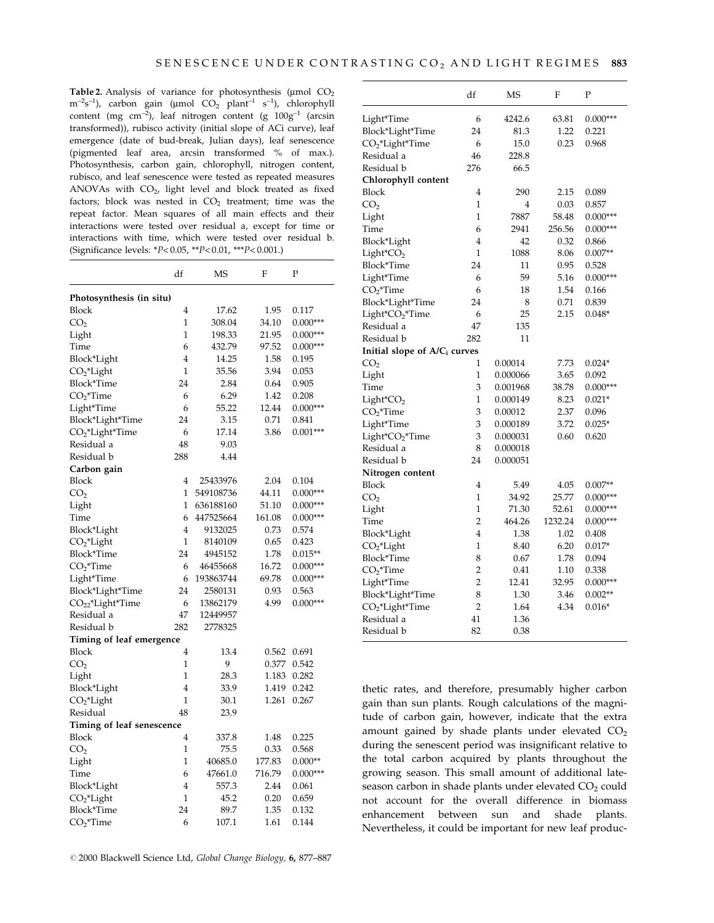Table 2. Analysis of variance for photosynthesis ( $\mu$ mol CO<sub>2</sub>)  $\text{m}$ <sup>-2</sup>s<sup>-1</sup>), carbon gain (µmol CO<sub>2</sub> plant<sup>-1</sup> s<sup>-1</sup>), chlorophyll content (mg cm<sup>-2</sup>), leaf nitrogen content (g  $100g^{-1}$  (arcsin transformed)), rubisco activity (initial slope of ACi curve), leaf emergence (date of bud-break, Julian days), leaf senescence (pigmented leaf area, arcsin transformed % of max.). Photosynthesis, carbon gain, chlorophyll, nitrogen content, rubisco, and leaf senescence were tested as repeated measures ANOVAs with  $CO<sub>2</sub>$ , light level and block treated as fixed factors; block was nested in  $CO<sub>2</sub>$  treatment; time was the repeat factor. Mean squares of all main effects and their interactions were tested over residual a, except for time or interactions with time, which were tested over residual b. (Significance levels: \*P<0.05, \*\*P<0.01, \*\*\*P<0.001.)

|                              | df             | MS        | F      | Ρ          |
|------------------------------|----------------|-----------|--------|------------|
| Photosynthesis (in situ)     |                |           |        |            |
| <b>Block</b>                 | 4              | 17.62     | 1.95   | 0.117      |
| CO <sub>2</sub>              | $\mathbf{1}$   | 308.04    | 34.10  | $0.000***$ |
| Light                        | $\mathbf{1}$   | 198.33    | 21.95  | $0.000***$ |
| Time                         | 6              | 432.79    | 97.52  | $0.000***$ |
| Block*Light                  | $\overline{4}$ | 14.25     | 1.58   | 0.195      |
| $CO2*Light$                  | $\mathbf{1}$   | 35.56     | 3.94   | 0.053      |
| Block*Time                   | 24             | 2.84      | 0.64   | 0.905      |
| $CO2*Time$                   | 6              | 6.29      | 1.42   | 0.208      |
| Light*Time                   | 6              | 55.22     | 12.44  | $0.000***$ |
| Block*Light*Time             | 24             | 3.15      | 0.71   | 0.841      |
| $CO2*Light*Time$             | 6              | 17.14     | 3.86   | $0.001***$ |
| Residual a                   | 48             | 9.03      |        |            |
| Residual b                   | 288            | 4.44      |        |            |
| Carbon gain                  |                |           |        |            |
| Block                        | 4              | 25433976  | 2.04   | 0.104      |
| CO <sub>2</sub>              | $\overline{1}$ | 549108736 | 44.11  | $0.000***$ |
| Light                        | 1              | 636188160 | 51.10  | $0.000***$ |
| Time                         | 6              | 447525664 | 161.08 | $0.000***$ |
| Block*Light                  | $\overline{4}$ | 9132025   | 0.73   | 0.574      |
| CO <sub>2</sub> *Light       | 1              | 8140109   | 0.65   | 0.423      |
| Block*Time                   | 24             | 4945152   | 1.78   | $0.015**$  |
| $CO2$ *Time                  | 6              | 46455668  | 16.72  | $0.000***$ |
| Light*Time                   | 6              | 193863744 | 69.78  | $0.000***$ |
| Block*Light*Time             | 24             | 2580131   | 0.93   | 0.563      |
| CO <sub>22</sub> *Light*Time | 6              | 13862179  | 4.99   | $0.000***$ |
| Residual a                   | 47             | 12449957  |        |            |
| Residual b                   | 282            | 2778325   |        |            |
| Timing of leaf emergence     |                |           |        |            |
| <b>Block</b>                 | $\overline{4}$ | 13.4      | 0.562  | 0.691      |
| CO <sub>2</sub>              | $\mathbf{1}$   | 9         | 0.377  | 0.542      |
| Light                        | 1              | 28.3      | 1.183  | 0.282      |
| Block*Light                  | $\overline{4}$ | 33.9      | 1.419  | 0.242      |
| CO <sub>2</sub> *Light       | 1              | 30.1      | 1.261  | 0.267      |
| Residual                     | 48             | 23.9      |        |            |
| Timing of leaf senescence    |                |           |        |            |
| Block                        | $\overline{4}$ | 337.8     | 1.48   | 0.225      |
| CO <sub>2</sub>              | $\mathbf{1}$   | 75.5      | 0.33   | 0.568      |
| Light                        | 1              | 40685.0   | 177.83 | $0.000**$  |
| Time                         | 6              | 47661.0   | 716.79 | $0.000***$ |
| Block*Light                  | $\overline{4}$ | 557.3     | 2.44   | 0.061      |
| CO <sub>2</sub> *Light       | $\mathbf{1}$   | 45.2      | 0.20   | 0.659      |
| Block*Time                   | 24             | 89.7      | 1.35   | 0.132      |
| $CO2$ *Time                  | 6              | 107.1     | 1.61   | 0.144      |

|                                          | df             | MS             | F       | Ρ          |
|------------------------------------------|----------------|----------------|---------|------------|
| Light*Time                               | 6              | 4242.6         | 63.81   | $0.000***$ |
| Block*Light*Time                         | 24             | 81.3           | 1.22    | 0.221      |
| $CO2*Light*Time$                         | 6              | 15.0           | 0.23    | 0.968      |
| Residual a                               | 46             | 228.8          |         |            |
| Residual b                               | 276            | 66.5           |         |            |
| Chlorophyll content                      |                |                |         |            |
| Block                                    | 4              | 290            | 2.15    | 0.089      |
| CO <sub>2</sub>                          | 1              | $\overline{4}$ | 0.03    | 0.857      |
| Light                                    | 1              | 7887           | 58.48   | $0.000***$ |
| Time                                     | 6              | 2941           | 256.56  | $0.000***$ |
| Block*Light                              | 4              | 42             | 0.32    | 0.866      |
| $Light^*CO_2$                            | 1              | 1088           | 8.06    | $0.007**$  |
| Block*Time                               | 24             | 11             | 0.95    | 0.528      |
| Light*Time                               | 6              | 59             | 5.16    | $0.000***$ |
| $CO2*Time$                               | 6              | 18             | 1.54    | 0.166      |
| Block*Light*Time                         | 24             | 8              | 0.71    | 0.839      |
| Light*CO <sub>2</sub> *Time              | 6              | 25             | 2.15    | $0.048*$   |
| Residual a                               | 47             | 135            |         |            |
| Residual b                               | 282            | 11             |         |            |
| Initial slope of A/C <sub>i</sub> curves |                |                |         |            |
| CO <sub>2</sub>                          | 1              | 0.00014        | 7.73    | $0.024*$   |
| Light                                    | $\overline{1}$ | 0.000066       | 3.65    | 0.092      |
| Time                                     | 3              | 0.001968       | 38.78   | $0.000***$ |
| $Light^*CO_2$                            | $\overline{1}$ | 0.000149       | 8.23    | $0.021*$   |
| $CO2$ *Time                              | 3              | 0.00012        | 2.37    | 0.096      |
| Light*Time                               | 3              | 0.000189       | 3.72    | $0.025*$   |
| Light*CO <sub>2</sub> *Time              | 3              | 0.000031       | 0.60    | 0.620      |
| Residual a                               | 8              | 0.000018       |         |            |
| Residual b                               | 24             | 0.000051       |         |            |
| Nitrogen content                         |                |                |         |            |
| <b>Block</b>                             | 4              | 5.49           | 4.05    | $0.007**$  |
| CO <sub>2</sub>                          | 1              | 34.92          | 25.77   | $0.000***$ |
| Light                                    | 1              | 71.30          | 52.61   | $0.000***$ |
| Time                                     | $\overline{2}$ | 464.26         | 1232.24 | $0.000***$ |
| Block*Light                              | $\overline{4}$ | 1.38           | 1.02    | 0.408      |
| CO <sub>2</sub> *Light                   | 1              | 8.40           | 6.20    | $0.017*$   |
| Block*Time                               | 8              | 0.67           | 1.78    | 0.094      |
| $CO2*Time$                               | $\overline{c}$ | 0.41           | 1.10    | 0.338      |
| Light*Time                               | $\overline{2}$ | 12.41          | 32.95   | $0.000***$ |
| Block*Light*Time                         | 8              | 1.30           | 3.46    | $0.002**$  |
| CO <sub>2</sub> *Light*Time              | $\overline{2}$ | 1.64           | 4.34    | $0.016*$   |
| Residual a                               | 41             | 1.36           |         |            |
| Residual b                               | 82             | 0.38           |         |            |
|                                          |                |                |         |            |

thetic rates, and therefore, presumably higher carbon gain than sun plants. Rough calculations of the magnitude of carbon gain, however, indicate that the extra amount gained by shade plants under elevated  $CO<sub>2</sub>$ during the senescent period was insignificant relative to the total carbon acquired by plants throughout the growing season. This small amount of additional lateseason carbon in shade plants under elevated  $CO<sub>2</sub>$  could not account for the overall difference in biomass enhancement between sun and shade plants. Nevertheless, it could be important for new leaf produc-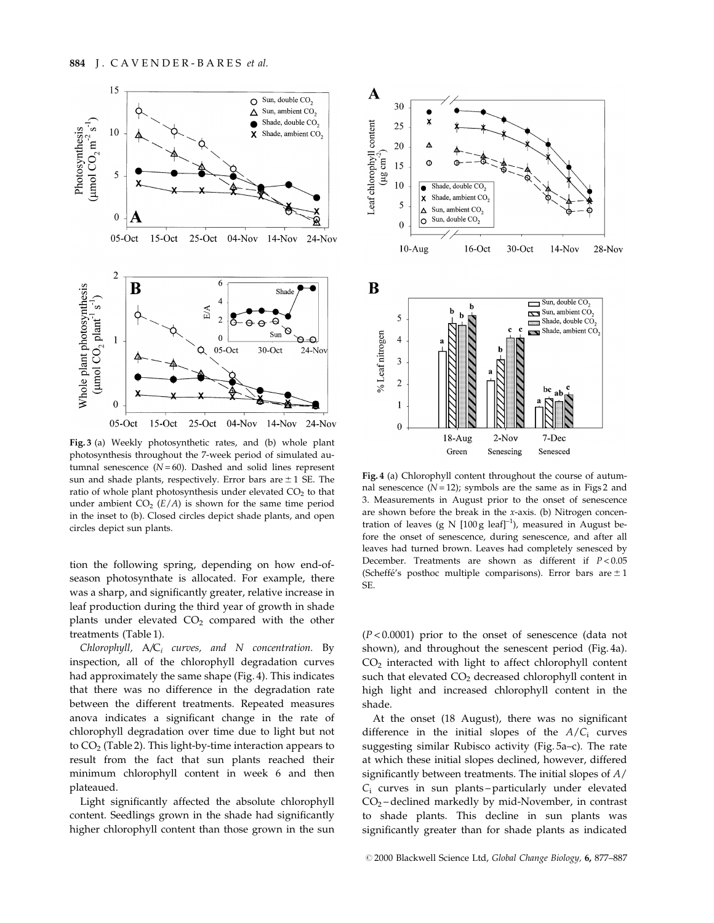

Fig. 3 (a) Weekly photosynthetic rates, and (b) whole plant photosynthesis throughout the 7-week period of simulated autumnal senescence  $(N=60)$ . Dashed and solid lines represent sun and shade plants, respectively. Error bars are  $\pm$  1 SE. The ratio of whole plant photosynthesis under elevated  $CO<sub>2</sub>$  to that under ambient  $CO<sub>2</sub> (E/A)$  is shown for the same time period in the inset to (b). Closed circles depict shade plants, and open circles depict sun plants.

tion the following spring, depending on how end-ofseason photosynthate is allocated. For example, there was a sharp, and significantly greater, relative increase in leaf production during the third year of growth in shade plants under elevated  $CO<sub>2</sub>$  compared with the other treatments (Table 1).

Chlorophyll,  $A/C_i$  curves, and N concentration. By inspection, all of the chlorophyll degradation curves had approximately the same shape (Fig. 4). This indicates that there was no difference in the degradation rate between the different treatments. Repeated measures anova indicates a significant change in the rate of chlorophyll degradation over time due to light but not to  $CO<sub>2</sub>$  (Table 2). This light-by-time interaction appears to result from the fact that sun plants reached their minimum chlorophyll content in week 6 and then plateaued.

Light significantly affected the absolute chlorophyll content. Seedlings grown in the shade had significantly higher chlorophyll content than those grown in the sun



Fig. 4 (a) Chlorophyll content throughout the course of autumnal senescence  $(N=12)$ ; symbols are the same as in Figs 2 and 3. Measurements in August prior to the onset of senescence are shown before the break in the x-axis. (b) Nitrogen concentration of leaves (g N  $[100 \text{ g} \text{ leaf}]^{-1}$ ), measured in August before the onset of senescence, during senescence, and after all leaves had turned brown. Leaves had completely senesced by December. Treatments are shown as different if  $P < 0.05$ (Scheffe's posthoc multiple comparisons). Error bars are  $\pm 1$ SE.

 $(P < 0.0001)$  prior to the onset of senescence (data not shown), and throughout the senescent period (Fig. 4a). CO2 interacted with light to affect chlorophyll content such that elevated  $CO<sub>2</sub>$  decreased chlorophyll content in high light and increased chlorophyll content in the shade.

At the onset (18 August), there was no significant difference in the initial slopes of the  $A/C_i$  curves suggesting similar Rubisco activity (Fig. 5a-c). The rate at which these initial slopes declined, however, differed significantly between treatments. The initial slopes of  $A/$  $C_i$  curves in sun plants-particularly under elevated  $CO<sub>2</sub>$  - declined markedly by mid-November, in contrast to shade plants. This decline in sun plants was significantly greater than for shade plants as indicated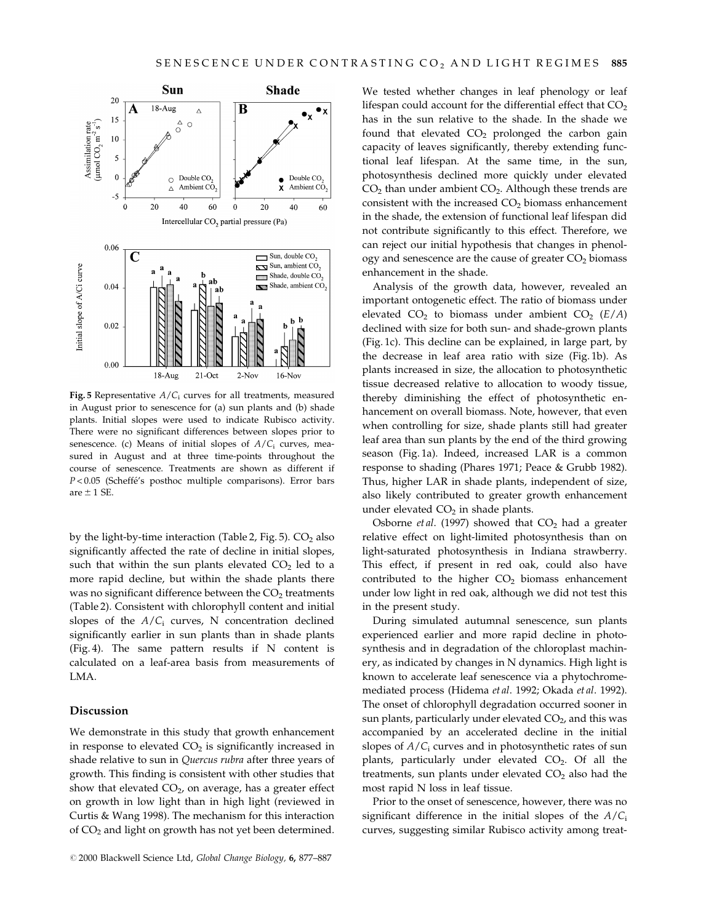

Fig. 5 Representative  $A/C<sub>i</sub>$  curves for all treatments, measured in August prior to senescence for (a) sun plants and (b) shade plants. Initial slopes were used to indicate Rubisco activity. There were no significant differences between slopes prior to senescence. (c) Means of initial slopes of  $A/C<sub>i</sub>$  curves, measured in August and at three time-points throughout the course of senescence. Treatments are shown as different if  $P < 0.05$  (Scheffé's posthoc multiple comparisons). Error bars are  $\pm$  1 SE.

by the light-by-time interaction (Table 2, Fig. 5).  $CO<sub>2</sub>$  also significantly affected the rate of decline in initial slopes, such that within the sun plants elevated  $CO<sub>2</sub>$  led to a more rapid decline, but within the shade plants there was no significant difference between the  $CO<sub>2</sub>$  treatments (Table 2). Consistent with chlorophyll content and initial slopes of the  $A/C<sub>i</sub>$  curves, N concentration declined significantly earlier in sun plants than in shade plants (Fig. 4). The same pattern results if N content is calculated on a leaf-area basis from measurements of LMA.

#### Discussion

We demonstrate in this study that growth enhancement in response to elevated  $CO<sub>2</sub>$  is significantly increased in shade relative to sun in Quercus rubra after three years of growth. This finding is consistent with other studies that show that elevated  $CO<sub>2</sub>$ , on average, has a greater effect on growth in low light than in high light (reviewed in Curtis & Wang 1998). The mechanism for this interaction of  $CO<sub>2</sub>$  and light on growth has not yet been determined.

We tested whether changes in leaf phenology or leaf lifespan could account for the differential effect that  $CO<sub>2</sub>$ has in the sun relative to the shade. In the shade we found that elevated  $CO<sub>2</sub>$  prolonged the carbon gain capacity of leaves significantly, thereby extending functional leaf lifespan. At the same time, in the sun, photosynthesis declined more quickly under elevated  $CO<sub>2</sub>$  than under ambient  $CO<sub>2</sub>$ . Although these trends are consistent with the increased  $CO<sub>2</sub>$  biomass enhancement in the shade, the extension of functional leaf lifespan did not contribute significantly to this effect. Therefore, we can reject our initial hypothesis that changes in phenology and senescence are the cause of greater  $CO<sub>2</sub>$  biomass enhancement in the shade.

Analysis of the growth data, however, revealed an important ontogenetic effect. The ratio of biomass under elevated  $CO<sub>2</sub>$  to biomass under ambient  $CO<sub>2</sub>$  ( $E/A$ ) declined with size for both sun- and shade-grown plants (Fig. 1c). This decline can be explained, in large part, by the decrease in leaf area ratio with size (Fig. 1b). As plants increased in size, the allocation to photosynthetic tissue decreased relative to allocation to woody tissue, thereby diminishing the effect of photosynthetic enhancement on overall biomass. Note, however, that even when controlling for size, shade plants still had greater leaf area than sun plants by the end of the third growing season (Fig. 1a). Indeed, increased LAR is a common response to shading (Phares 1971; Peace & Grubb 1982). Thus, higher LAR in shade plants, independent of size, also likely contributed to greater growth enhancement under elevated  $CO<sub>2</sub>$  in shade plants.

Osborne et al. (1997) showed that  $CO<sub>2</sub>$  had a greater relative effect on light-limited photosynthesis than on light-saturated photosynthesis in Indiana strawberry. This effect, if present in red oak, could also have contributed to the higher  $CO<sub>2</sub>$  biomass enhancement under low light in red oak, although we did not test this in the present study.

During simulated autumnal senescence, sun plants experienced earlier and more rapid decline in photosynthesis and in degradation of the chloroplast machinery, as indicated by changes in N dynamics. High light is known to accelerate leaf senescence via a phytochromemediated process (Hidema et al. 1992; Okada et al. 1992). The onset of chlorophyll degradation occurred sooner in sun plants, particularly under elevated  $CO<sub>2</sub>$ , and this was accompanied by an accelerated decline in the initial slopes of  $A/C<sub>i</sub>$  curves and in photosynthetic rates of sun plants, particularly under elevated  $CO<sub>2</sub>$ . Of all the treatments, sun plants under elevated  $CO<sub>2</sub>$  also had the most rapid N loss in leaf tissue.

Prior to the onset of senescence, however, there was no significant difference in the initial slopes of the  $A/C_i$ curves, suggesting similar Rubisco activity among treat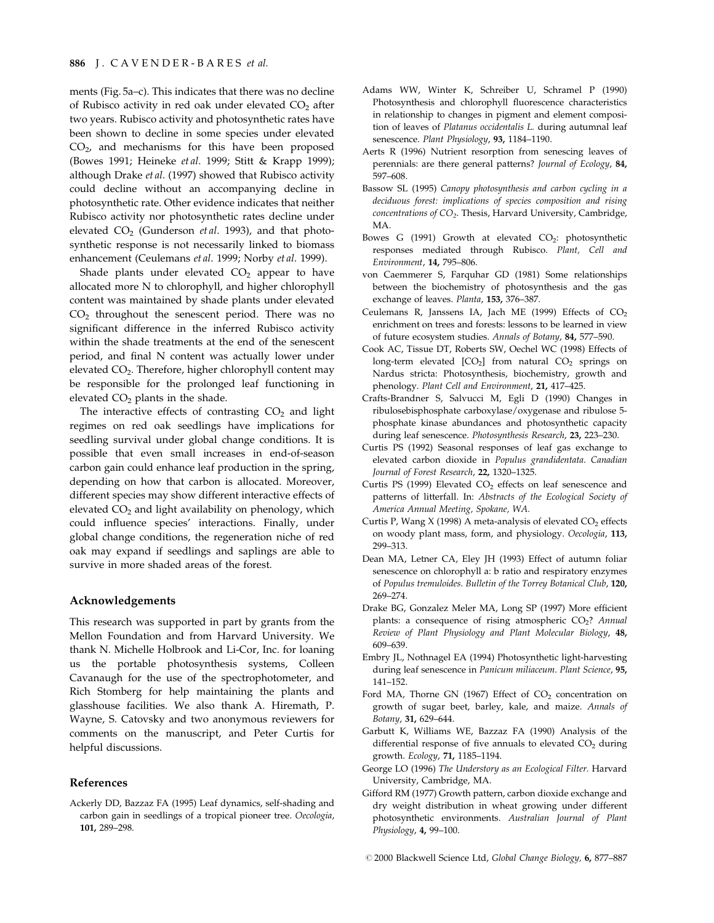ments (Fig.  $5a-c$ ). This indicates that there was no decline of Rubisco activity in red oak under elevated  $CO<sub>2</sub>$  after two years. Rubisco activity and photosynthetic rates have been shown to decline in some species under elevated  $CO<sub>2</sub>$ , and mechanisms for this have been proposed (Bowes 1991; Heineke et al. 1999; Stitt & Krapp 1999); although Drake et al. (1997) showed that Rubisco activity could decline without an accompanying decline in photosynthetic rate. Other evidence indicates that neither Rubisco activity nor photosynthetic rates decline under elevated  $CO<sub>2</sub>$  (Gunderson *et al.* 1993), and that photosynthetic response is not necessarily linked to biomass enhancement (Ceulemans et al. 1999; Norby et al. 1999).

Shade plants under elevated  $CO<sub>2</sub>$  appear to have allocated more N to chlorophyll, and higher chlorophyll content was maintained by shade plants under elevated CO2 throughout the senescent period. There was no significant difference in the inferred Rubisco activity within the shade treatments at the end of the senescent period, and final N content was actually lower under elevated CO<sub>2</sub>. Therefore, higher chlorophyll content may be responsible for the prolonged leaf functioning in elevated  $CO<sub>2</sub>$  plants in the shade.

The interactive effects of contrasting  $CO<sub>2</sub>$  and light regimes on red oak seedlings have implications for seedling survival under global change conditions. It is possible that even small increases in end-of-season carbon gain could enhance leaf production in the spring, depending on how that carbon is allocated. Moreover, different species may show different interactive effects of elevated  $CO<sub>2</sub>$  and light availability on phenology, which could influence species' interactions. Finally, under global change conditions, the regeneration niche of red oak may expand if seedlings and saplings are able to survive in more shaded areas of the forest.

#### Acknowledgements

This research was supported in part by grants from the Mellon Foundation and from Harvard University. We thank N. Michelle Holbrook and Li-Cor, Inc. for loaning us the portable photosynthesis systems, Colleen Cavanaugh for the use of the spectrophotometer, and Rich Stomberg for help maintaining the plants and glasshouse facilities. We also thank A. Hiremath, P. Wayne, S. Catovsky and two anonymous reviewers for comments on the manuscript, and Peter Curtis for helpful discussions.

#### References

Ackerly DD, Bazzaz FA (1995) Leaf dynamics, self-shading and carbon gain in seedlings of a tropical pioneer tree. Oecologia, 101, 289±298.

- Adams WW, Winter K, Schreiber U, Schramel P (1990) Photosynthesis and chlorophyll fluorescence characteristics in relationship to changes in pigment and element composition of leaves of Platanus occidentalis L. during autumnal leaf senescence. Plant Physiology, 93, 1184-1190.
- Aerts R (1996) Nutrient resorption from senescing leaves of perennials: are there general patterns? Journal of Ecology, 84, 597-608.
- Bassow SL (1995) Canopy photosynthesis and carbon cycling in a deciduous forest: implications of species composition and rising  $concentrations of  $CO_2$ . Thesis, Harvard University, Cambridge,$ MA.
- Bowes G (1991) Growth at elevated  $CO<sub>2</sub>$ : photosynthetic responses mediated through Rubisco. Plant, Cell and Environment, 14, 795-806.
- von Caemmerer S, Farquhar GD (1981) Some relationships between the biochemistry of photosynthesis and the gas exchange of leaves. Planta, 153, 376-387.
- Ceulemans R, Janssens IA, Jach ME (1999) Effects of  $CO<sub>2</sub>$ enrichment on trees and forests: lessons to be learned in view of future ecosystem studies. Annals of Botany, 84, 577-590.
- Cook AC, Tissue DT, Roberts SW, Oechel WC (1998) Effects of long-term elevated  $[CO<sub>2</sub>]$  from natural  $CO<sub>2</sub>$  springs on Nardus stricta: Photosynthesis, biochemistry, growth and phenology. Plant Cell and Environment, 21, 417-425.
- Crafts-Brandner S, Salvucci M, Egli D (1990) Changes in ribulosebisphosphate carboxylase/oxygenase and ribulose 5 phosphate kinase abundances and photosynthetic capacity during leaf senescence. Photosynthesis Research, 23, 223-230.
- Curtis PS (1992) Seasonal responses of leaf gas exchange to elevated carbon dioxide in Populus grandidentata. Canadian Journal of Forest Research, 22, 1320-1325.
- Curtis PS (1999) Elevated  $CO<sub>2</sub>$  effects on leaf senescence and patterns of litterfall. In: Abstracts of the Ecological Society of America Annual Meeting, Spokane, WA.
- Curtis P, Wang X (1998) A meta-analysis of elevated  $CO<sub>2</sub>$  effects on woody plant mass, form, and physiology. Oecologia, 113, 299±313.
- Dean MA, Letner CA, Eley JH (1993) Effect of autumn foliar senescence on chlorophyll a: b ratio and respiratory enzymes of Populus tremuloides. Bulletin of the Torrey Botanical Club, 120, 269±274.
- Drake BG, Gonzalez Meler MA, Long SP (1997) More efficient plants: a consequence of rising atmospheric  $CO<sub>2</sub>$ ? Annual Review of Plant Physiology and Plant Molecular Biology, 48, 609-639.
- Embry JL, Nothnagel EA (1994) Photosynthetic light-harvesting during leaf senescence in Panicum miliaceum. Plant Science, 95, 141±152.
- Ford MA, Thorne GN (1967) Effect of  $CO<sub>2</sub>$  concentration on growth of sugar beet, barley, kale, and maize. Annals of Botany, 31, 629-644.
- Garbutt K, Williams WE, Bazzaz FA (1990) Analysis of the differential response of five annuals to elevated  $CO<sub>2</sub>$  during growth. Ecology, 71, 1185-1194.
- George LO (1996) The Understory as an Ecological Filter. Harvard University, Cambridge, MA.
- Gifford RM (1977) Growth pattern, carbon dioxide exchange and dry weight distribution in wheat growing under different photosynthetic environments. Australian Journal of Plant Physiology, 4, 99-100.

@ 2000 Blackwell Science Ltd, Global Change Biology, 6, 877-887